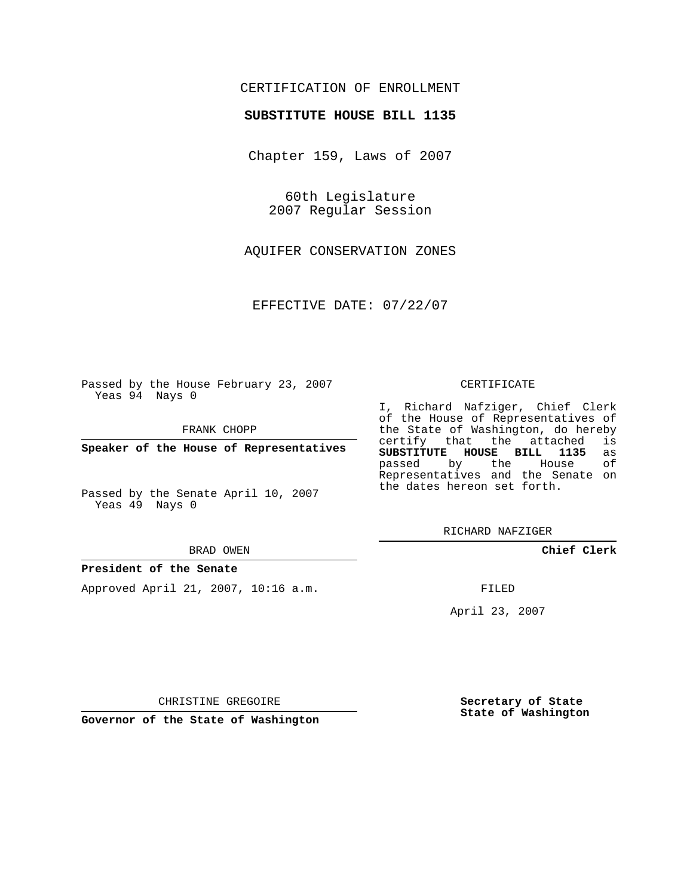## CERTIFICATION OF ENROLLMENT

## **SUBSTITUTE HOUSE BILL 1135**

Chapter 159, Laws of 2007

60th Legislature 2007 Regular Session

AQUIFER CONSERVATION ZONES

EFFECTIVE DATE: 07/22/07

Passed by the House February 23, 2007 Yeas 94 Nays 0

FRANK CHOPP

**Speaker of the House of Representatives**

Passed by the Senate April 10, 2007 Yeas 49 Nays 0

#### BRAD OWEN

### **President of the Senate**

Approved April 21, 2007, 10:16 a.m.

#### CERTIFICATE

I, Richard Nafziger, Chief Clerk of the House of Representatives of the State of Washington, do hereby<br>certify that the attached is certify that the attached **SUBSTITUTE HOUSE BILL 1135** as passed by the Representatives and the Senate on the dates hereon set forth.

RICHARD NAFZIGER

**Chief Clerk**

FILED

April 23, 2007

**Secretary of State State of Washington**

CHRISTINE GREGOIRE

**Governor of the State of Washington**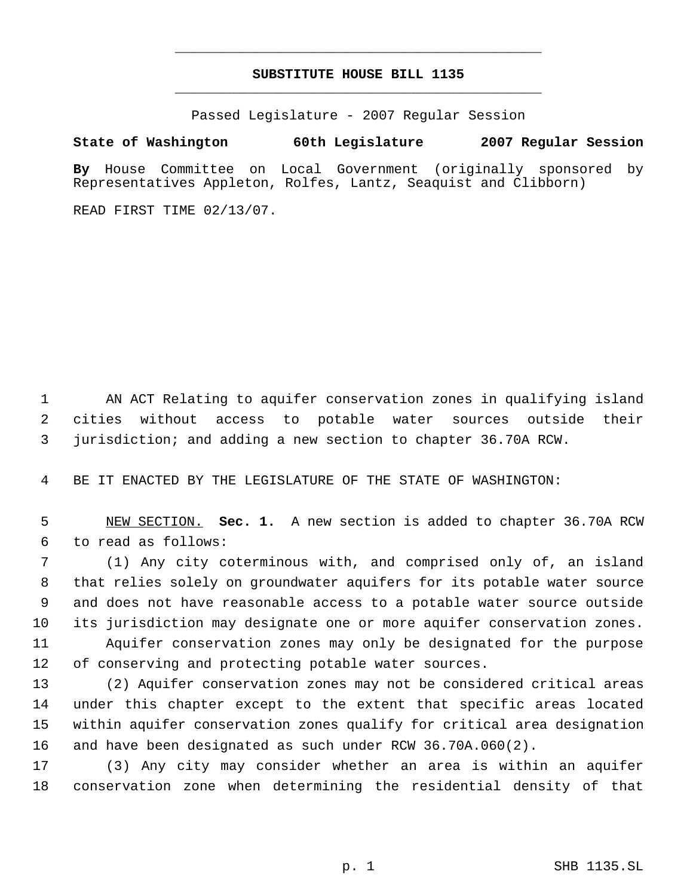# **SUBSTITUTE HOUSE BILL 1135** \_\_\_\_\_\_\_\_\_\_\_\_\_\_\_\_\_\_\_\_\_\_\_\_\_\_\_\_\_\_\_\_\_\_\_\_\_\_\_\_\_\_\_\_\_

\_\_\_\_\_\_\_\_\_\_\_\_\_\_\_\_\_\_\_\_\_\_\_\_\_\_\_\_\_\_\_\_\_\_\_\_\_\_\_\_\_\_\_\_\_

Passed Legislature - 2007 Regular Session

# **State of Washington 60th Legislature 2007 Regular Session**

**By** House Committee on Local Government (originally sponsored by Representatives Appleton, Rolfes, Lantz, Seaquist and Clibborn)

READ FIRST TIME 02/13/07.

 AN ACT Relating to aquifer conservation zones in qualifying island cities without access to potable water sources outside their jurisdiction; and adding a new section to chapter 36.70A RCW.

BE IT ENACTED BY THE LEGISLATURE OF THE STATE OF WASHINGTON:

 NEW SECTION. **Sec. 1.** A new section is added to chapter 36.70A RCW to read as follows:

 (1) Any city coterminous with, and comprised only of, an island that relies solely on groundwater aquifers for its potable water source and does not have reasonable access to a potable water source outside its jurisdiction may designate one or more aquifer conservation zones. Aquifer conservation zones may only be designated for the purpose

of conserving and protecting potable water sources.

 (2) Aquifer conservation zones may not be considered critical areas under this chapter except to the extent that specific areas located within aquifer conservation zones qualify for critical area designation and have been designated as such under RCW 36.70A.060(2).

 (3) Any city may consider whether an area is within an aquifer conservation zone when determining the residential density of that